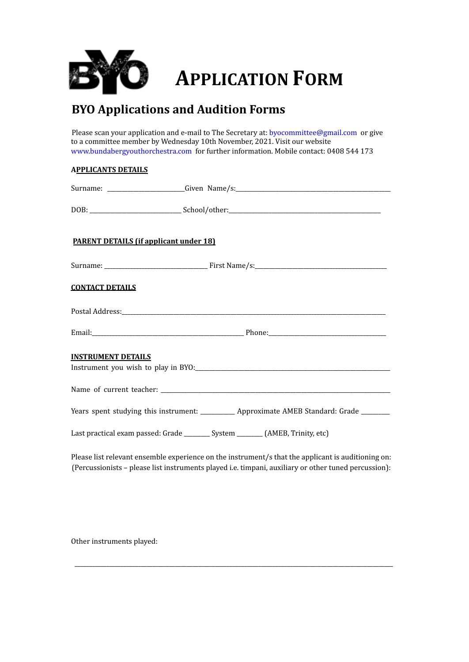

## **APPLICATION FORM**

## **BYO Applications and Audition Forms**

Please scan your application and e-mail to The Secretary at: byocommittee@gmail.com or give to a committee member by Wednesday 10th November, 2021. Visit our website www.bundabergyouthorchestra.com for further information. Mobile contact: 0408 544 173

## **APPLICANTS DETAILS**

|                           | <b>PARENT DETAILS (if applicant under 18)</b>                                                                                                                                                                                        |
|---------------------------|--------------------------------------------------------------------------------------------------------------------------------------------------------------------------------------------------------------------------------------|
|                           |                                                                                                                                                                                                                                      |
| <b>CONTACT DETAILS</b>    |                                                                                                                                                                                                                                      |
|                           |                                                                                                                                                                                                                                      |
|                           |                                                                                                                                                                                                                                      |
| <b>INSTRUMENT DETAILS</b> |                                                                                                                                                                                                                                      |
|                           |                                                                                                                                                                                                                                      |
|                           | Years spent studying this instrument: ___________ Approximate AMEB Standard: Grade _______                                                                                                                                           |
|                           | Last practical exam passed: Grade ________ System _______ (AMEB, Trinity, etc)                                                                                                                                                       |
|                           | $\mathbf{r}$ and $\mathbf{r}$ are the set of the set of the set of the set of the set of the set of the set of the set of the set of the set of the set of the set of the set of the set of the set of the set of the set of the set |

Please list relevant ensemble experience on the instrument/s that the applicant is auditioning on: (Percussionists – please list instruments played i.e. timpani, auxiliary or other tuned percussion):

\_\_\_\_\_\_\_\_\_\_\_\_\_\_\_\_\_\_\_\_\_\_\_\_\_\_\_\_\_\_\_\_\_\_\_\_\_\_\_\_\_\_\_\_\_\_\_\_\_\_\_\_\_\_\_\_\_\_\_\_\_\_\_\_\_\_\_\_\_\_\_\_\_\_\_\_\_\_\_\_\_\_\_\_\_\_\_\_\_\_\_\_\_\_\_\_\_\_\_\_\_\_\_\_\_\_\_\_\_\_\_

Other instruments played: